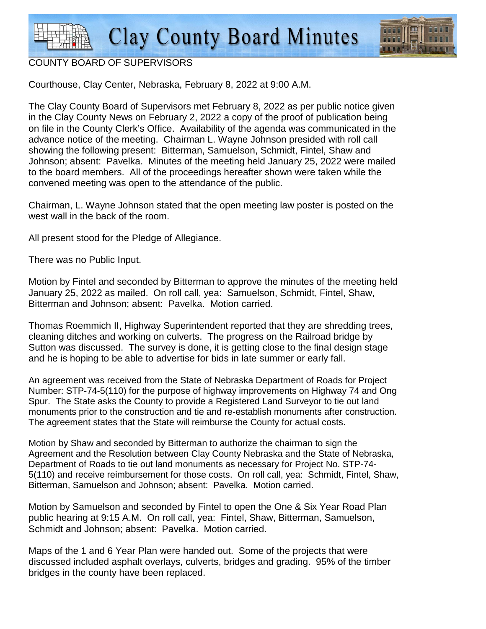

## COUNTY BOARD OF SUPERVISORS

Courthouse, Clay Center, Nebraska, February 8, 2022 at 9:00 A.M.

The Clay County Board of Supervisors met February 8, 2022 as per public notice given in the Clay County News on February 2, 2022 a copy of the proof of publication being on file in the County Clerk's Office. Availability of the agenda was communicated in the advance notice of the meeting. Chairman L. Wayne Johnson presided with roll call showing the following present: Bitterman, Samuelson, Schmidt, Fintel, Shaw and Johnson; absent: Pavelka. Minutes of the meeting held January 25, 2022 were mailed to the board members. All of the proceedings hereafter shown were taken while the convened meeting was open to the attendance of the public.

Chairman, L. Wayne Johnson stated that the open meeting law poster is posted on the west wall in the back of the room.

All present stood for the Pledge of Allegiance.

There was no Public Input.

Motion by Fintel and seconded by Bitterman to approve the minutes of the meeting held January 25, 2022 as mailed. On roll call, yea: Samuelson, Schmidt, Fintel, Shaw, Bitterman and Johnson; absent: Pavelka. Motion carried.

Thomas Roemmich II, Highway Superintendent reported that they are shredding trees, cleaning ditches and working on culverts. The progress on the Railroad bridge by Sutton was discussed. The survey is done, it is getting close to the final design stage and he is hoping to be able to advertise for bids in late summer or early fall.

An agreement was received from the State of Nebraska Department of Roads for Project Number: STP-74-5(110) for the purpose of highway improvements on Highway 74 and Ong Spur. The State asks the County to provide a Registered Land Surveyor to tie out land monuments prior to the construction and tie and re-establish monuments after construction. The agreement states that the State will reimburse the County for actual costs.

Motion by Shaw and seconded by Bitterman to authorize the chairman to sign the Agreement and the Resolution between Clay County Nebraska and the State of Nebraska, Department of Roads to tie out land monuments as necessary for Project No. STP-74- 5(110) and receive reimbursement for those costs. On roll call, yea: Schmidt, Fintel, Shaw, Bitterman, Samuelson and Johnson; absent: Pavelka. Motion carried.

Motion by Samuelson and seconded by Fintel to open the One & Six Year Road Plan public hearing at 9:15 A.M. On roll call, yea: Fintel, Shaw, Bitterman, Samuelson, Schmidt and Johnson; absent: Pavelka. Motion carried.

Maps of the 1 and 6 Year Plan were handed out. Some of the projects that were discussed included asphalt overlays, culverts, bridges and grading. 95% of the timber bridges in the county have been replaced.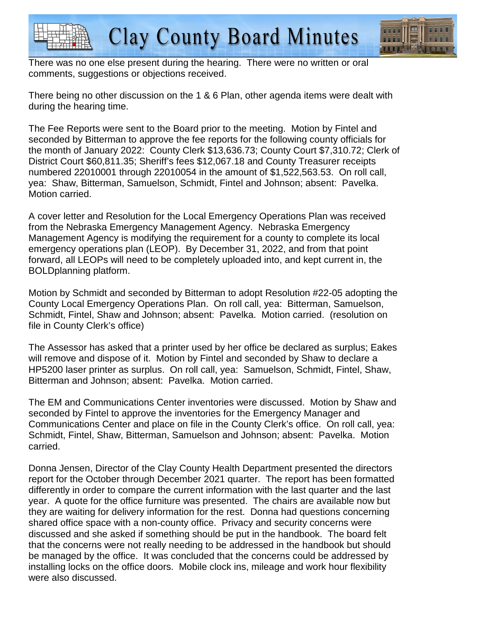



There was no one else present during the hearing. There were no written or oral comments, suggestions or objections received.

There being no other discussion on the 1 & 6 Plan, other agenda items were dealt with during the hearing time.

The Fee Reports were sent to the Board prior to the meeting. Motion by Fintel and seconded by Bitterman to approve the fee reports for the following county officials for the month of January 2022: County Clerk \$13,636.73; County Court \$7,310.72; Clerk of District Court \$60,811.35; Sheriff's fees \$12,067.18 and County Treasurer receipts numbered 22010001 through 22010054 in the amount of \$1,522,563.53. On roll call, yea: Shaw, Bitterman, Samuelson, Schmidt, Fintel and Johnson; absent: Pavelka. Motion carried.

A cover letter and Resolution for the Local Emergency Operations Plan was received from the Nebraska Emergency Management Agency. Nebraska Emergency Management Agency is modifying the requirement for a county to complete its local emergency operations plan (LEOP). By December 31, 2022, and from that point forward, all LEOPs will need to be completely uploaded into, and kept current in, the BOLDplanning platform.

Motion by Schmidt and seconded by Bitterman to adopt Resolution #22-05 adopting the County Local Emergency Operations Plan. On roll call, yea: Bitterman, Samuelson, Schmidt, Fintel, Shaw and Johnson; absent: Pavelka. Motion carried. (resolution on file in County Clerk's office)

The Assessor has asked that a printer used by her office be declared as surplus; Eakes will remove and dispose of it. Motion by Fintel and seconded by Shaw to declare a HP5200 laser printer as surplus. On roll call, yea: Samuelson, Schmidt, Fintel, Shaw, Bitterman and Johnson; absent: Pavelka. Motion carried.

The EM and Communications Center inventories were discussed. Motion by Shaw and seconded by Fintel to approve the inventories for the Emergency Manager and Communications Center and place on file in the County Clerk's office. On roll call, yea: Schmidt, Fintel, Shaw, Bitterman, Samuelson and Johnson; absent: Pavelka. Motion carried.

Donna Jensen, Director of the Clay County Health Department presented the directors report for the October through December 2021 quarter. The report has been formatted differently in order to compare the current information with the last quarter and the last year. A quote for the office furniture was presented. The chairs are available now but they are waiting for delivery information for the rest. Donna had questions concerning shared office space with a non-county office. Privacy and security concerns were discussed and she asked if something should be put in the handbook. The board felt that the concerns were not really needing to be addressed in the handbook but should be managed by the office. It was concluded that the concerns could be addressed by installing locks on the office doors. Mobile clock ins, mileage and work hour flexibility were also discussed.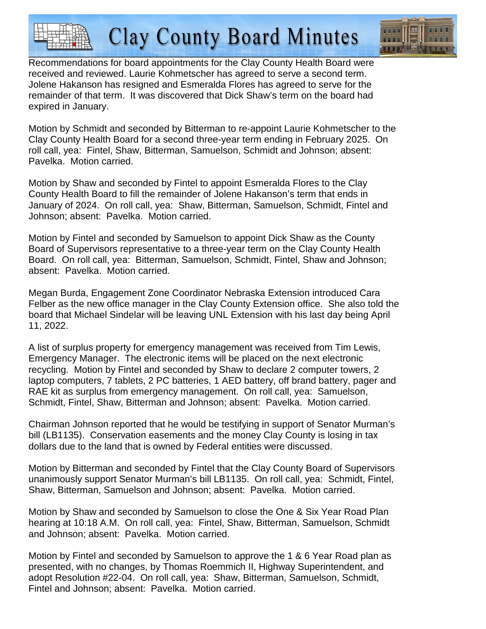**Clay County Board Minutes** 



Recommendations for board appointments for the Clay County Health Board were received and reviewed. Laurie Kohmetscher has agreed to serve a second term. Jolene Hakanson has resigned and Esmeralda Flores has agreed to serve for the remainder of that term. It was discovered that Dick Shaw's term on the board had expired in January.

Motion by Schmidt and seconded by Bitterman to re-appoint Laurie Kohmetscher to the Clay County Health Board for a second three-year term ending in February 2025. On roll call, yea: Fintel, Shaw, Bitterman, Samuelson, Schmidt and Johnson; absent: Pavelka. Motion carried.

Motion by Shaw and seconded by Fintel to appoint Esmeralda Flores to the Clay County Health Board to fill the remainder of Jolene Hakanson's term that ends in January of 2024. On roll call, yea: Shaw, Bitterman, Samuelson, Schmidt, Fintel and Johnson; absent: Pavelka. Motion carried.

Motion by Fintel and seconded by Samuelson to appoint Dick Shaw as the County Board of Supervisors representative to a three-year term on the Clay County Health Board. On roll call, yea: Bitterman, Samuelson, Schmidt, Fintel, Shaw and Johnson; absent: Pavelka. Motion carried.

Megan Burda, Engagement Zone Coordinator Nebraska Extension introduced Cara Felber as the new office manager in the Clay County Extension office. She also told the board that Michael Sindelar will be leaving UNL Extension with his last day being April 11, 2022.

A list of surplus property for emergency management was received from Tim Lewis, Emergency Manager. The electronic items will be placed on the next electronic recycling. Motion by Fintel and seconded by Shaw to declare 2 computer towers, 2 laptop computers, 7 tablets, 2 PC batteries, 1 AED battery, off brand battery, pager and RAE kit as surplus from emergency management. On roll call, yea: Samuelson, Schmidt, Fintel, Shaw, Bitterman and Johnson; absent: Pavelka. Motion carried.

Chairman Johnson reported that he would be testifying in support of Senator Murman's bill (LB1135). Conservation easements and the money Clay County is losing in tax dollars due to the land that is owned by Federal entities were discussed.

Motion by Bitterman and seconded by Fintel that the Clay County Board of Supervisors unanimously support Senator Murman's bill LB1135. On roll call, yea: Schmidt, Fintel, Shaw, Bitterman, Samuelson and Johnson; absent: Pavelka. Motion carried.

Motion by Shaw and seconded by Samuelson to close the One & Six Year Road Plan hearing at 10:18 A.M. On roll call, yea: Fintel, Shaw, Bitterman, Samuelson, Schmidt and Johnson; absent: Pavelka. Motion carried.

Motion by Fintel and seconded by Samuelson to approve the 1 & 6 Year Road plan as presented, with no changes, by Thomas Roemmich II, Highway Superintendent, and adopt Resolution #22-04. On roll call, yea: Shaw, Bitterman, Samuelson, Schmidt, Fintel and Johnson; absent: Pavelka. Motion carried.